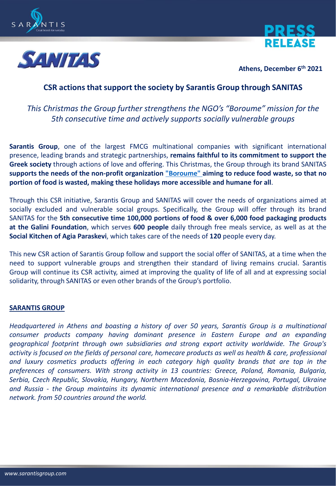





**Athens, December 6 th 2021**

## **CSR actions that support the society by Sarantis Group through SANITAS**

## *This Christmas the Group further strengthens the NGO's "Boroume" mission for the 5th consecutive time and actively supports socially vulnerable groups*

**Sarantis Group**, one of the largest FMCG multinational companies with significant international presence, leading brands and strategic partnerships, **remains faithful to its commitment to support the Greek society** through actions of love and offering. This Christmas, the Group through its brand SANITAS **supports the needs of the non-profit organization ["Boroume"](https://www.boroume.gr/en) aiming to reduce food waste, so that no portion of food is wasted, making these holidays more accessible and humane for all**.

Through this CSR initiative, Sarantis Group and SANITAS will cover the needs of organizations aimed at socially excluded and vulnerable social groups. Specifically, the Group will offer through its brand SANITAS for the **5th consecutive time 100,000 portions of food & over 6,000 food packaging products at the Galini Foundation**, which serves **600 people** daily through free meals service, as well as at the **Social Kitchen of Agia Paraskevi**, which takes care of the needs of **120** people every day.

This new CSR action of Sarantis Group follow and support the social offer of SANITAS, at a time when the need to support vulnerable groups and strengthen their standard of living remains crucial. Sarantis Group will continue its CSR activity, aimed at improving the quality of life of all and at expressing social solidarity, through SANITAS or even other brands of the Group's portfolio.

## **SARANTIS GROUP**

*Headquartered in Athens and boasting a history of over 50 years, Sarantis Group is a multinational consumer products company having dominant presence in Eastern Europe and an expanding geographical footprint through own subsidiaries and strong export activity worldwide. The Group's* activity is focused on the fields of personal care, homecare products as well as health & care, professional *and luxury cosmetics products offering in each category high quality brands that are top in the preferences of consumers. With strong activity in 13 countries: Greece, Poland, Romania, Bulgaria, Serbia, Czech Republic, Slovakia, Hungary, Northern Macedonia, Bosnia-Herzegovina, Portugal, Ukraine and Russia - the Group maintains its dynamic international presence and a remarkable distribution network. from 50 countries around the world.*